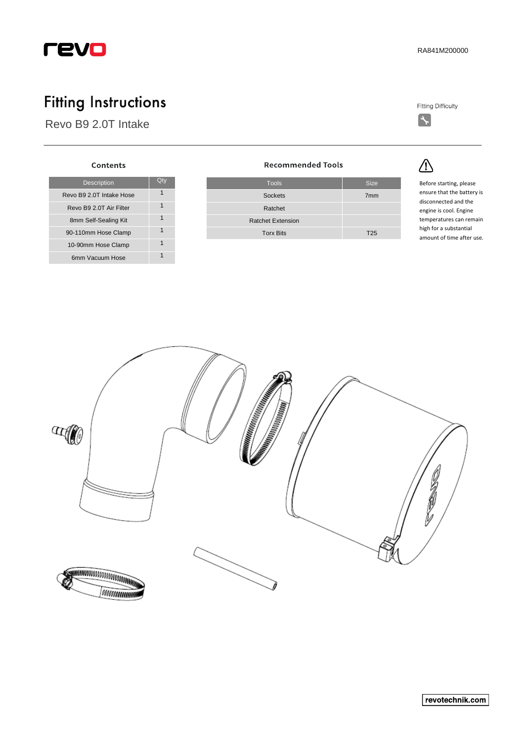

**Fitting Difficulty** 

 $|\mathcal{F}|$ 

# **Fitting Instructions**

Revo B9 2.0T Intake

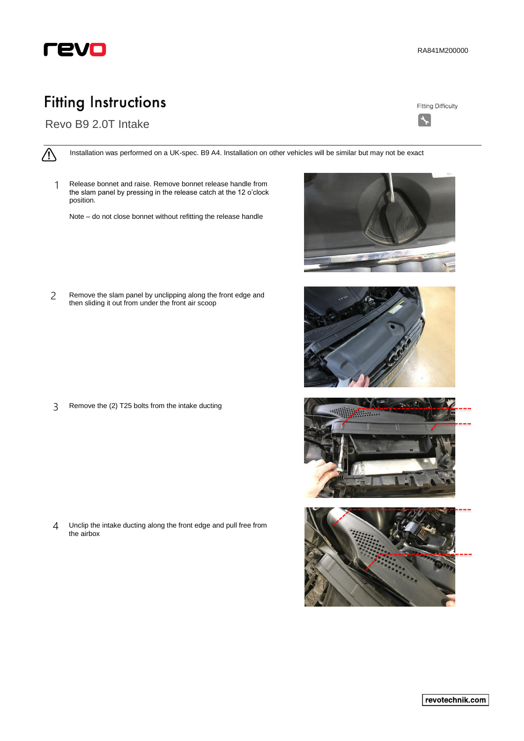

### **Fitting Instructions**





Revo B9 2.0T Intake



Installation was performed on a UK-spec. B9 A4. Installation on other vehicles will be similar but may not be exact

- Release bonnet and raise. Remove bonnet release handle from the slam panel by pressing in the release catch at the 12 o'clock position. 1
	- Note do not close bonnet without refitting the release handle



2 Remove the slam panel by unclipping along the front edge and then sliding it out from under the front air scoop

3 Remove the (2) T25 bolts from the intake ducting

Unclip the intake ducting along the front edge and pull free from the airbox 4





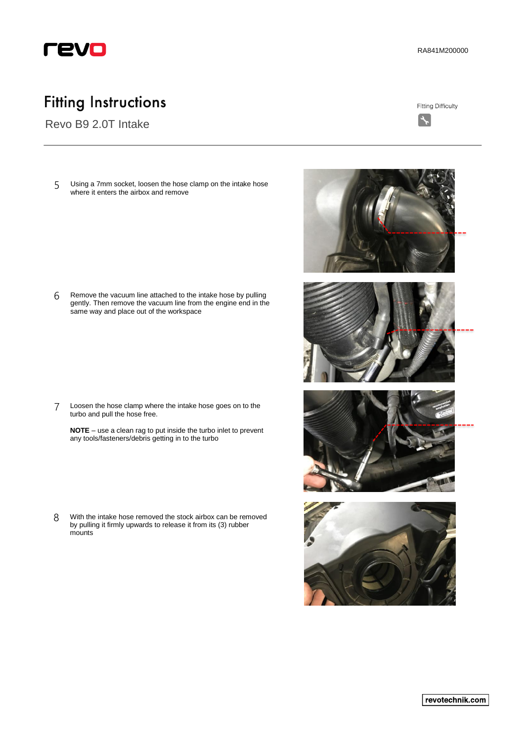

#### **Fitting Instructions**

Revo B9 2.0T Intake

**Fitting Difficulty** 



Using a 7mm socket, loosen the hose clamp on the intake hose where it enters the airbox and remove 5

6 Remove the vacuum line attached to the intake hose by pulling gently. Then remove the vacuum line from the engine end in the same way and place out of the workspace

Loosen the hose clamp where the intake hose goes on to the turbo and pull the hose free. 7

**NOTE** – use a clean rag to put inside the turbo inlet to prevent any tools/fasteners/debris getting in to the turbo

With the intake hose removed the stock airbox can be removed by pulling it firmly upwards to release it from its (3) rubber mounts 8

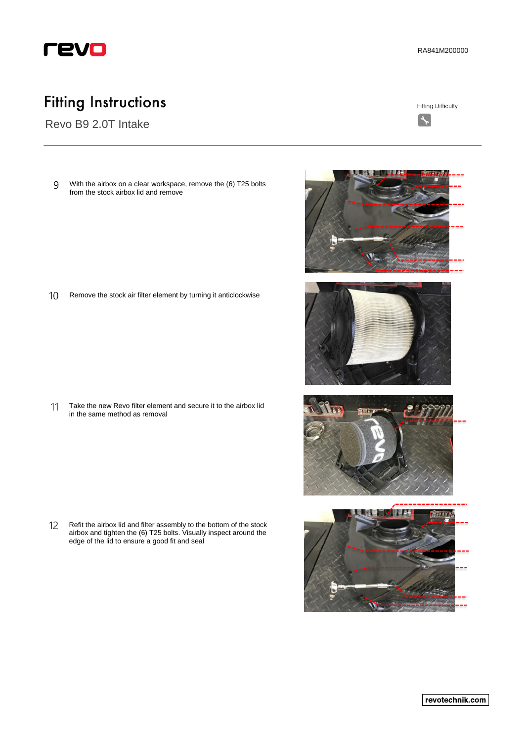

#### RA841M200000

# **Fitting Instructions**

Revo B9 2.0T Intake

**Fitting Difficulty** 



With the airbox on a clear workspace, remove the (6) T25 bolts from the stock airbox lid and remove 9

10 Remove the stock air filter element by turning it anticlockwise

Take the new Revo filter element and secure it to the airbox lid in the same method as removal 11

12 Refit the airbox lid and filter assembly to the bottom of the stock airbox and tighten the (6) T25 bolts. Visually inspect around the edge of the lid to ensure a good fit and seal





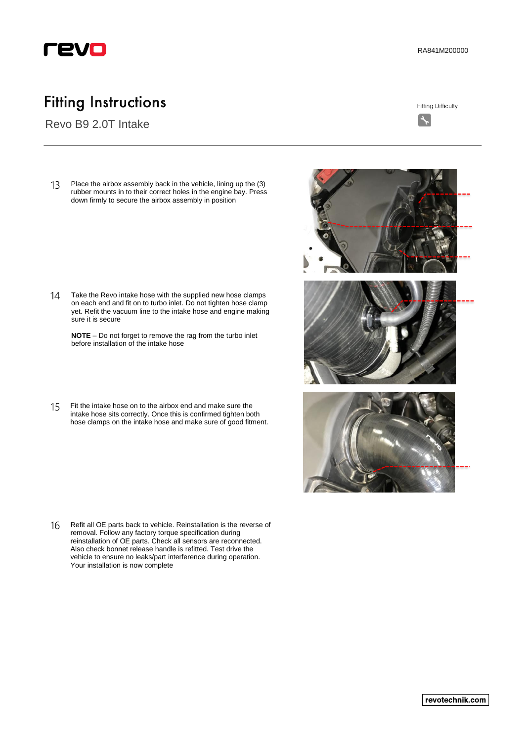

#### RA841M200000

#### **Fitting Instructions**

Revo B9 2.0T Intake

**Fitting Difficulty** 



Place the airbox assembly back in the vehicle, lining up the (3) rubber mounts in to their correct holes in the engine bay. Press down firmly to secure the airbox assembly in position 13

14 Take the Revo intake hose with the supplied new hose clamps on each end and fit on to turbo inlet. Do not tighten hose clamp yet. Refit the vacuum line to the intake hose and engine making sure it is secure

**NOTE** – Do not forget to remove the rag from the turbo inlet before installation of the intake hose

Fit the intake hose on to the airbox end and make sure the intake hose sits correctly. Once this is confirmed tighten both hose clamps on the intake hose and make sure of good fitment. 15

16 Refit all OE parts back to vehicle. Reinstallation is the reverse of removal. Follow any factory torque specification during reinstallation of OE parts. Check all sensors are reconnected. Also check bonnet release handle is refitted. Test drive the vehicle to ensure no leaks/part interference during operation. Your installation is now complete